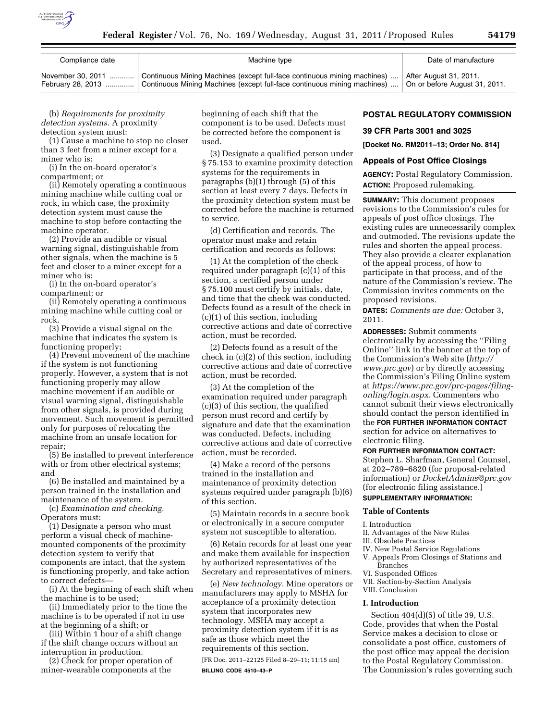

| Compliance date | Machine type                                                                                                                                                                                                                                        | Date of manufacture |
|-----------------|-----------------------------------------------------------------------------------------------------------------------------------------------------------------------------------------------------------------------------------------------------|---------------------|
|                 | November 30, 2011  Continuous Mining Machines (except full-face continuous mining machines)  After August 31, 2011.<br>February 28, 2013  Continuous Mining Machines (except full-face continuous mining machines)    On or before August 31, 2011. |                     |

(b) *Requirements for proximity detection systems.* A proximity detection system must:

(1) Cause a machine to stop no closer than 3 feet from a miner except for a miner who is:

(i) In the on-board operator's compartment; or

(ii) Remotely operating a continuous mining machine while cutting coal or rock, in which case, the proximity detection system must cause the machine to stop before contacting the machine operator.

(2) Provide an audible or visual warning signal, distinguishable from other signals, when the machine is 5 feet and closer to a miner except for a miner who is:

(i) In the on-board operator's compartment; or

(ii) Remotely operating a continuous mining machine while cutting coal or rock.

(3) Provide a visual signal on the machine that indicates the system is functioning properly;

(4) Prevent movement of the machine if the system is not functioning properly. However, a system that is not functioning properly may allow machine movement if an audible or visual warning signal, distinguishable from other signals, is provided during movement. Such movement is permitted only for purposes of relocating the machine from an unsafe location for repair;

(5) Be installed to prevent interference with or from other electrical systems; and

(6) Be installed and maintained by a person trained in the installation and maintenance of the system.

(c) *Examination and checking.*  Operators must:

(1) Designate a person who must perform a visual check of machinemounted components of the proximity detection system to verify that components are intact, that the system is functioning properly, and take action to correct defects—

(i) At the beginning of each shift when the machine is to be used;

(ii) Immediately prior to the time the machine is to be operated if not in use at the beginning of a shift; or

(iii) Within 1 hour of a shift change if the shift change occurs without an interruption in production.

(2) Check for proper operation of miner-wearable components at the

beginning of each shift that the component is to be used. Defects must be corrected before the component is used.

(3) Designate a qualified person under § 75.153 to examine proximity detection systems for the requirements in paragraphs (b)(1) through (5) of this section at least every 7 days. Defects in the proximity detection system must be corrected before the machine is returned to service.

(d) Certification and records. The operator must make and retain certification and records as follows:

(1) At the completion of the check required under paragraph (c)(1) of this section, a certified person under § 75.100 must certify by initials, date, and time that the check was conducted. Defects found as a result of the check in (c)(1) of this section, including corrective actions and date of corrective action, must be recorded.

(2) Defects found as a result of the check in (c)(2) of this section, including corrective actions and date of corrective action, must be recorded.

(3) At the completion of the examination required under paragraph (c)(3) of this section, the qualified person must record and certify by signature and date that the examination was conducted. Defects, including corrective actions and date of corrective action, must be recorded.

(4) Make a record of the persons trained in the installation and maintenance of proximity detection systems required under paragraph (b)(6) of this section.

(5) Maintain records in a secure book or electronically in a secure computer system not susceptible to alteration.

(6) Retain records for at least one year and make them available for inspection by authorized representatives of the Secretary and representatives of miners.

(e) *New technology.* Mine operators or manufacturers may apply to MSHA for acceptance of a proximity detection system that incorporates new technology. MSHA may accept a proximity detection system if it is as safe as those which meet the requirements of this section.

[FR Doc. 2011–22125 Filed 8–29–11; 11:15 am] **BILLING CODE 4510–43–P** 

# **POSTAL REGULATORY COMMISSION**

## **39 CFR Parts 3001 and 3025**

**[Docket No. RM2011–13; Order No. 814]** 

## **Appeals of Post Office Closings**

**AGENCY:** Postal Regulatory Commission. **ACTION:** Proposed rulemaking.

**SUMMARY:** This document proposes revisions to the Commission's rules for appeals of post office closings. The existing rules are unnecessarily complex and outmoded. The revisions update the rules and shorten the appeal process. They also provide a clearer explanation of the appeal process, of how to participate in that process, and of the nature of the Commission's review. The Commission invites comments on the proposed revisions.

**DATES:** *Comments are due:* October 3, 2011.

**ADDRESSES:** Submit comments electronically by accessing the ''Filing Online'' link in the banner at the top of the Commission's Web site (*[http://](http://www.prc.gov) [www.prc.gov](http://www.prc.gov)*) or by directly accessing the Commission's Filing Online system at *[https://www.prc.gov/prc-pages/filing](https://www.prc.gov/prc-pages/filing-onling/login.aspx)[onling/login.aspx.](https://www.prc.gov/prc-pages/filing-onling/login.aspx)* Commenters who cannot submit their views electronically should contact the person identified in the **FOR FURTHER INFORMATION CONTACT** section for advice on alternatives to electronic filing.

## **FOR FURTHER INFORMATION CONTACT:**

Stephen L. Sharfman, General Counsel, at 202–789–6820 (for proposal-related information) or *[DocketAdmins@prc.gov](mailto:DocketAdmins@prc.gov)*  (for electronic filing assistance.) **SUPPLEMENTARY INFORMATION:** 

# **Table of Contents**

- I. Introduction
- II. Advantages of the New Rules
- III. Obsolete Practices
- IV. New Postal Service Regulations
- V. Appeals From Closings of Stations and Branches
- VI. Suspended Offices
- VII. Section-by-Section Analysis
- VIII. Conclusion

#### **I. Introduction**

Section 404(d)(5) of title 39, U.S. Code, provides that when the Postal Service makes a decision to close or consolidate a post office, customers of the post office may appeal the decision to the Postal Regulatory Commission. The Commission's rules governing such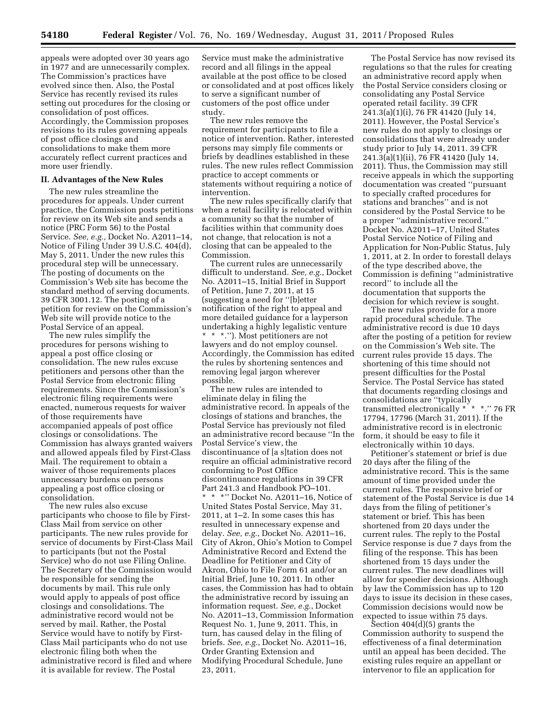appeals were adopted over 30 years ago in 1977 and are unnecessarily complex. The Commission's practices have evolved since then. Also, the Postal Service has recently revised its rules setting out procedures for the closing or consolidation of post offices. Accordingly, the Commission proposes revisions to its rules governing appeals of post office closings and consolidations to make them more accurately reflect current practices and more user friendly.

# **II. Advantages of the New Rules**

The new rules streamline the procedures for appeals. Under current practice, the Commission posts petitions for review on its Web site and sends a notice (PRC Form 56) to the Postal Service. *See, e.g.,* Docket No. A2011–14, Notice of Filing Under 39 U.S.C. 404(d), May 5, 2011. Under the new rules this procedural step will be unnecessary. The posting of documents on the Commission's Web site has become the standard method of serving documents. 39 CFR 3001.12. The posting of a petition for review on the Commission's Web site will provide notice to the Postal Service of an appeal.

The new rules simplify the procedures for persons wishing to appeal a post office closing or consolidation. The new rules excuse petitioners and persons other than the Postal Service from electronic filing requirements. Since the Commission's electronic filing requirements were enacted, numerous requests for waiver of those requirements have accompanied appeals of post office closings or consolidations. The Commission has always granted waivers and allowed appeals filed by First-Class Mail. The requirement to obtain a waiver of those requirements places unnecessary burdens on persons appealing a post office closing or consolidation.

The new rules also excuse participants who choose to file by First-Class Mail from service on other participants. The new rules provide for service of documents by First-Class Mail to participants (but not the Postal Service) who do not use Filing Online. The Secretary of the Commission would be responsible for sending the documents by mail. This rule only would apply to appeals of post office closings and consolidations. The administrative record would not be served by mail. Rather, the Postal Service would have to notify by First-Class Mail participants who do not use electronic filing both when the administrative record is filed and where it is available for review. The Postal

Service must make the administrative record and all filings in the appeal available at the post office to be closed or consolidated and at post offices likely to serve a significant number of customers of the post office under study.

The new rules remove the requirement for participants to file a notice of intervention. Rather, interested persons may simply file comments or briefs by deadlines established in these rules. The new rules reflect Commission practice to accept comments or statements without requiring a notice of intervention.

The new rules specifically clarify that when a retail facility is relocated within a community so that the number of facilities within that community does not change, that relocation is not a closing that can be appealed to the Commission.

The current rules are unnecessarily difficult to understand. *See, e.g.*, Docket No. A2011–15, Initial Brief in Support of Petition, June 7, 2011, at 15 (suggesting a need for ''[b]etter notification of the right to appeal and more detailed guidance for a layperson undertaking a highly legalistic venture \* \* \*.''). Most petitioners are not lawyers and do not employ counsel. Accordingly, the Commission has edited the rules by shortening sentences and removing legal jargon wherever possible.

The new rules are intended to eliminate delay in filing the administrative record. In appeals of the closings of stations and branches, the Postal Service has previously not filed an administrative record because ''In the Postal Service's view, the discontinuance of [a s]tation does not require an official administrative record conforming to Post Office discontinuance regulations in 39 CFR Part 241.3 and Handbook PO–101. \* \* \*'' Docket No. A2011–16, Notice of United States Postal Service, May 31, 2011, at 1–2. In some cases this has resulted in unnecessary expense and delay. *See, e.g.*, Docket No. A2011–16, City of Akron, Ohio's Motion to Compel Administrative Record and Extend the Deadline for Petitioner and City of Akron, Ohio to File Form 61 and/or an Initial Brief, June 10, 2011. In other cases, the Commission has had to obtain the administrative record by issuing an information request. *See, e.g.*, Docket No. A2011–13, Commission Information Request No. 1, June 9, 2011. This, in turn, has caused delay in the filing of briefs. *See, e.g.*, Docket No. A2011–16, Order Granting Extension and Modifying Procedural Schedule, June 23, 2011.

The Postal Service has now revised its regulations so that the rules for creating an administrative record apply when the Postal Service considers closing or consolidating any Postal Service operated retail facility. 39 CFR 241.3(a)(1)(i), 76 FR 41420 (July 14, 2011). However, the Postal Service's new rules do not apply to closings or consolidations that were already under study prior to July 14, 2011. 39 CFR 241.3(a)(1)(ii), 76 FR 41420 (July 14, 2011). Thus, the Commission may still receive appeals in which the supporting documentation was created ''pursuant to specially crafted procedures for stations and branches'' and is not considered by the Postal Service to be a proper ''administrative record.'' Docket No. A2011–17, United States Postal Service Notice of Filing and Application for Non-Public Status, July 1, 2011, at 2. In order to forestall delays of the type described above, the Commission is defining ''administrative record'' to include all the documentation that supports the decision for which review is sought.

The new rules provide for a more rapid procedural schedule. The administrative record is due 10 days after the posting of a petition for review on the Commission's Web site. The current rules provide 15 days. The shortening of this time should not present difficulties for the Postal Service. The Postal Service has stated that documents regarding closings and consolidations are ''typically transmitted electronically \* \* \*.'' 76 FR 17794, 17796 (March 31, 2011). If the administrative record is in electronic form, it should be easy to file it electronically within 10 days.

Petitioner's statement or brief is due 20 days after the filing of the administrative record. This is the same amount of time provided under the current rules. The responsive brief or statement of the Postal Service is due 14 days from the filing of petitioner's statement or brief. This has been shortened from 20 days under the current rules. The reply to the Postal Service response is due 7 days from the filing of the response. This has been shortened from 15 days under the current rules. The new deadlines will allow for speedier decisions. Although by law the Commission has up to 120 days to issue its decision in these cases, Commission decisions would now be expected to issue within 75 days.

Section 404(d)(5) grants the Commission authority to suspend the effectiveness of a final determination until an appeal has been decided. The existing rules require an appellant or intervenor to file an application for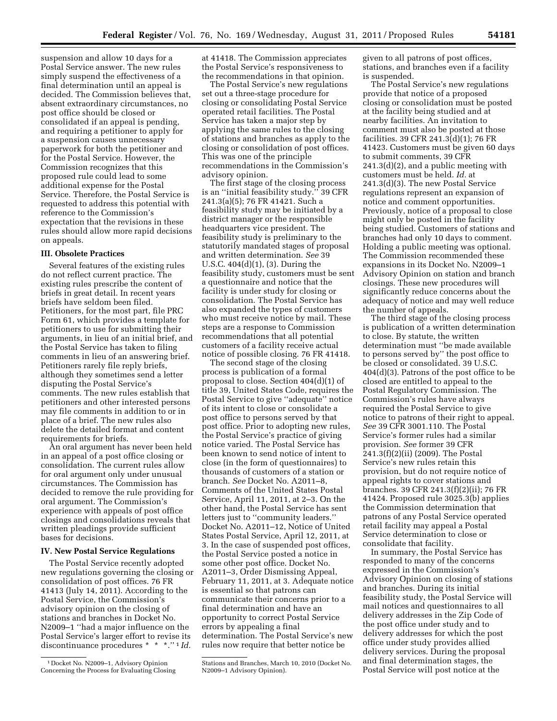suspension and allow 10 days for a Postal Service answer. The new rules simply suspend the effectiveness of a final determination until an appeal is decided. The Commission believes that, absent extraordinary circumstances, no post office should be closed or consolidated if an appeal is pending, and requiring a petitioner to apply for a suspension causes unnecessary paperwork for both the petitioner and for the Postal Service. However, the Commission recognizes that this proposed rule could lead to some additional expense for the Postal Service. Therefore, the Postal Service is requested to address this potential with reference to the Commission's expectation that the revisions in these rules should allow more rapid decisions on appeals.

# **III. Obsolete Practices**

Several features of the existing rules do not reflect current practice. The existing rules prescribe the content of briefs in great detail. In recent years briefs have seldom been filed. Petitioners, for the most part, file PRC Form 61, which provides a template for petitioners to use for submitting their arguments, in lieu of an initial brief, and the Postal Service has taken to filing comments in lieu of an answering brief. Petitioners rarely file reply briefs, although they sometimes send a letter disputing the Postal Service's comments. The new rules establish that petitioners and other interested persons may file comments in addition to or in place of a brief. The new rules also delete the detailed format and content requirements for briefs.

An oral argument has never been held in an appeal of a post office closing or consolidation. The current rules allow for oral argument only under unusual circumstances. The Commission has decided to remove the rule providing for oral argument. The Commission's experience with appeals of post office closings and consolidations reveals that written pleadings provide sufficient bases for decisions.

# **IV. New Postal Service Regulations**

The Postal Service recently adopted new regulations governing the closing or consolidation of post offices. 76 FR 41413 (July 14, 2011). According to the Postal Service, the Commission's advisory opinion on the closing of stations and branches in Docket No. N2009–1 ''had a major influence on the Postal Service's larger effort to revise its discontinuance procedures \* \* \*.'' 1 *Id.* 

at 41418. The Commission appreciates the Postal Service's responsiveness to the recommendations in that opinion.

The Postal Service's new regulations set out a three-stage procedure for closing or consolidating Postal Service operated retail facilities. The Postal Service has taken a major step by applying the same rules to the closing of stations and branches as apply to the closing or consolidation of post offices. This was one of the principle recommendations in the Commission's advisory opinion.

The first stage of the closing process is an ''initial feasibility study.'' 39 CFR 241.3(a)(5); 76 FR 41421. Such a feasibility study may be initiated by a district manager or the responsible headquarters vice president. The feasibility study is preliminary to the statutorily mandated stages of proposal and written determination. *See* 39 U.S.C. 404(d)(1), (3). During the feasibility study, customers must be sent a questionnaire and notice that the facility is under study for closing or consolidation. The Postal Service has also expanded the types of customers who must receive notice by mail. These steps are a response to Commission recommendations that all potential customers of a facility receive actual notice of possible closing. 76 FR 41418.

The second stage of the closing process is publication of a formal proposal to close. Section 404(d)(1) of title 39, United States Code, requires the Postal Service to give ''adequate'' notice of its intent to close or consolidate a post office to persons served by that post office. Prior to adopting new rules, the Postal Service's practice of giving notice varied. The Postal Service has been known to send notice of intent to close (in the form of questionnaires) to thousands of customers of a station or branch. *See* Docket No. A2011–8, Comments of the United States Postal Service, April 11, 2011, at 2–3. On the other hand, the Postal Service has sent letters just to ''community leaders.'' Docket No. A2011–12, Notice of United States Postal Service, April 12, 2011, at 3. In the case of suspended post offices, the Postal Service posted a notice in some other post office. Docket No. A2011–3, Order Dismissing Appeal, February 11, 2011, at 3. Adequate notice is essential so that patrons can communicate their concerns prior to a final determination and have an opportunity to correct Postal Service errors by appealing a final determination. The Postal Service's new rules now require that better notice be

given to all patrons of post offices, stations, and branches even if a facility is suspended.

The Postal Service's new regulations provide that notice of a proposed closing or consolidation must be posted at the facility being studied and at nearby facilities. An invitation to comment must also be posted at those facilities. 39 CFR 241.3(d)(1); 76 FR 41423. Customers must be given 60 days to submit comments, 39 CFR 241.3(d)(2), and a public meeting with customers must be held. *Id.* at 241.3(d)(3). The new Postal Service regulations represent an expansion of notice and comment opportunities. Previously, notice of a proposal to close might only be posted in the facility being studied. Customers of stations and branches had only 10 days to comment. Holding a public meeting was optional. The Commission recommended these expansions in its Docket No. N2009–1 Advisory Opinion on station and branch closings. These new procedures will significantly reduce concerns about the adequacy of notice and may well reduce the number of appeals.

The third stage of the closing process is publication of a written determination to close. By statute, the written determination must ''be made available to persons served by'' the post office to be closed or consolidated. 39 U.S.C. 404(d)(3). Patrons of the post office to be closed are entitled to appeal to the Postal Regulatory Commission. The Commission's rules have always required the Postal Service to give notice to patrons of their right to appeal. *See* 39 CFR 3001.110. The Postal Service's former rules had a similar provision. *See* former 39 CFR 241.3(f)(2)(ii) (2009). The Postal Service's new rules retain this provision, but do not require notice of appeal rights to cover stations and branches. 39 CFR 241.3(f)(2)(ii); 76 FR 41424. Proposed rule 3025.3(b) applies the Commission determination that patrons of any Postal Service operated retail facility may appeal a Postal Service determination to close or consolidate that facility.

In summary, the Postal Service has responded to many of the concerns expressed in the Commission's Advisory Opinion on closing of stations and branches. During its initial feasibility study, the Postal Service will mail notices and questionnaires to all delivery addresses in the Zip Code of the post office under study and to delivery addresses for which the post office under study provides allied delivery services. During the proposal and final determination stages, the Postal Service will post notice at the

<sup>1</sup> Docket No. N2009–1, Advisory Opinion Concerning the Process for Evaluating Closing

Stations and Branches, March 10, 2010 (Docket No. N2009–1 Advisory Opinion).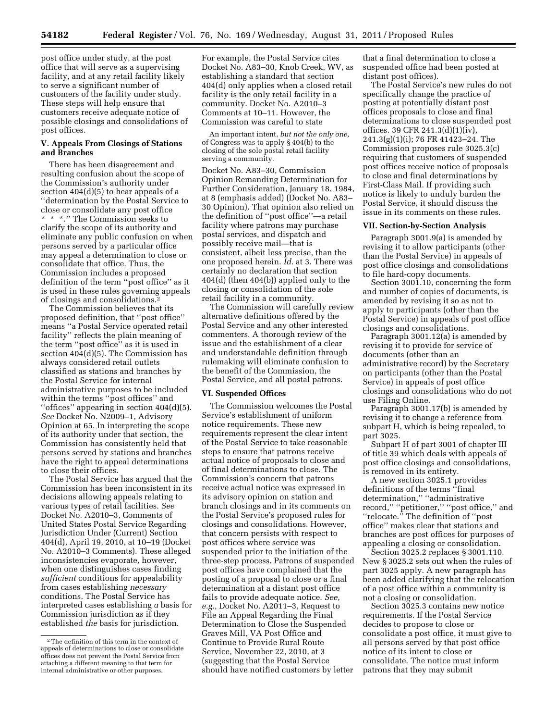post office under study, at the post office that will serve as a supervising facility, and at any retail facility likely to serve a significant number of customers of the facility under study. These steps will help ensure that customers receive adequate notice of possible closings and consolidations of post offices.

# **V. Appeals From Closings of Stations and Branches**

There has been disagreement and resulting confusion about the scope of the Commission's authority under section 404(d)(5) to hear appeals of a ''determination by the Postal Service to close or consolidate any post office \* \* \*.'' The Commission seeks to clarify the scope of its authority and eliminate any public confusion on when persons served by a particular office may appeal a determination to close or consolidate that office. Thus, the Commission includes a proposed definition of the term ''post office'' as it is used in these rules governing appeals of closings and consolidations.2

The Commission believes that its proposed definition, that ''post office'' means ''a Postal Service operated retail facility'' reflects the plain meaning of the term ''post office'' as it is used in section 404(d)(5). The Commission has always considered retail outlets classified as stations and branches by the Postal Service for internal administrative purposes to be included within the terms ''post offices'' and ''offices'' appearing in section 404(d)(5). *See* Docket No. N2009–1, Advisory Opinion at 65. In interpreting the scope of its authority under that section, the Commission has consistently held that persons served by stations and branches have the right to appeal determinations to close their offices.

The Postal Service has argued that the Commission has been inconsistent in its decisions allowing appeals relating to various types of retail facilities. *See*  Docket No. A2010–3, Comments of United States Postal Service Regarding Jurisdiction Under (Current) Section 404(d), April 19, 2010, at 10–19 (Docket No. A2010–3 Comments). These alleged inconsistencies evaporate, however, when one distinguishes cases finding *sufficient* conditions for appealability from cases establishing *necessary*  conditions. The Postal Service has interpreted cases establishing *a* basis for Commission jurisdiction as if they established *the* basis for jurisdiction.

For example, the Postal Service cites Docket No. A83–30, Knob Creek, WV, as establishing a standard that section 404(d) only applies when a closed retail facility is the only retail facility in a community. Docket No. A2010–3 Comments at 10–11. However, the Commission was careful to state

An important intent, *but not the only one,*  of Congress was to apply § 404(b) to the closing of the sole postal retail facility serving a community.

Docket No. A83–30, Commission Opinion Remanding Determination for Further Consideration, January 18, 1984, at 8 (emphasis added) (Docket No. A83– 30 Opinion). That opinion also relied on the definition of ''post office''—a retail facility where patrons may purchase postal services, and dispatch and possibly receive mail—that is consistent, albeit less precise, than the one proposed herein. *Id.* at 3. There was certainly no declaration that section 404(d) (then 404(b)) applied only to the closing or consolidation of the sole retail facility in a community.

The Commission will carefully review alternative definitions offered by the Postal Service and any other interested commenters. A thorough review of the issue and the establishment of a clear and understandable definition through rulemaking will eliminate confusion to the benefit of the Commission, the Postal Service, and all postal patrons.

### **VI. Suspended Offices**

The Commission welcomes the Postal Service's establishment of uniform notice requirements. These new requirements represent the clear intent of the Postal Service to take reasonable steps to ensure that patrons receive actual notice of proposals to close and of final determinations to close. The Commission's concern that patrons receive actual notice was expressed in its advisory opinion on station and branch closings and in its comments on the Postal Service's proposed rules for closings and consolidations. However, that concern persists with respect to post offices where service was suspended prior to the initiation of the three-step process. Patrons of suspended post offices have complained that the posting of a proposal to close or a final determination at a distant post office fails to provide adequate notice. *See, e.g.,* Docket No. A2011–3, Request to File an Appeal Regarding the Final Determination to Close the Suspended Graves Mill, VA Post Office and Continue to Provide Rural Route Service, November 22, 2010, at 3 (suggesting that the Postal Service should have notified customers by letter

that a final determination to close a suspended office had been posted at distant post offices).

The Postal Service's new rules do not specifically change the practice of posting at potentially distant post offices proposals to close and final determinations to close suspended post offices. 39 CFR 241.3(d)(1)(iv), 241.3(g)(1)(i); 76 FR 41423–24. The Commission proposes rule 3025.3(c) requiring that customers of suspended post offices receive notice of proposals to close and final determinations by First-Class Mail. If providing such notice is likely to unduly burden the Postal Service, it should discuss the issue in its comments on these rules.

## **VII. Section-by-Section Analysis**

Paragraph 3001.9(a) is amended by revising it to allow participants (other than the Postal Service) in appeals of post office closings and consolidations to file hard-copy documents.

Section 3001.10, concerning the form and number of copies of documents, is amended by revising it so as not to apply to participants (other than the Postal Service) in appeals of post office closings and consolidations.

Paragraph 3001.12(a) is amended by revising it to provide for service of documents (other than an administrative record) by the Secretary on participants (other than the Postal Service) in appeals of post office closings and consolidations who do not use Filing Online.

Paragraph 3001.17(b) is amended by revising it to change a reference from subpart H, which is being repealed, to part 3025.

Subpart H of part 3001 of chapter III of title 39 which deals with appeals of post office closings and consolidations, is removed in its entirety.

A new section 3025.1 provides definitions of the terms ''final determination,'' ''administrative record," "petitioner," "post office," and ''relocate.'' The definition of ''post office'' makes clear that stations and branches are post offices for purposes of appealing a closing or consolidation.

Section 3025.2 replaces § 3001.110. New § 3025.2 sets out when the rules of part 3025 apply. A new paragraph has been added clarifying that the relocation of a post office within a community is not a closing or consolidation.

Section 3025.3 contains new notice requirements. If the Postal Service decides to propose to close or consolidate a post office, it must give to all persons served by that post office notice of its intent to close or consolidate. The notice must inform patrons that they may submit

 $\sqrt[2]{2}$  The definition of this term in the context of appeals of determinations to close or consolidate offices does not prevent the Postal Service from attaching a different meaning to that term for internal administrative or other purposes.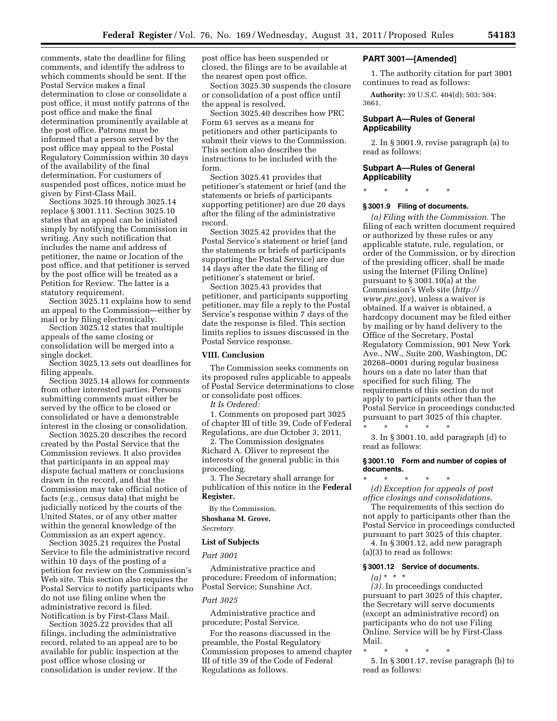comments, state the deadline for filing comments, and identify the address to which comments should be sent. If the Postal Service makes a final determination to close or consolidate a post office, it must notify patrons of the post office and make the final determination prominently available at the post office. Patrons must be informed that a person served by the post office may appeal to the Postal Regulatory Commission within 30 days of the availability of the final determination. For customers of suspended post offices, notice must be given by First-Class Mail.

Sections 3025.10 through 3025.14 replace § 3001.111. Section 3025.10 states that an appeal can be initiated simply by notifying the Commission in writing. Any such notification that includes the name and address of petitioner, the name or location of the post office, and that petitioner is served by the post office will be treated as a Petition for Review. The latter is a statutory requirement.

Section 3025.11 explains how to send an appeal to the Commission—either by mail or by filing electronically.

Section 3025.12 states that multiple appeals of the same closing or consolidation will be merged into a single docket.

Section 3025.13 sets out deadlines for filing appeals.

Section 3025.14 allows for comments from other interested parties. Persons submitting comments must either be served by the office to be closed or consolidated or have a demonstrable interest in the closing or consolidation.

Section 3025.20 describes the record created by the Postal Service that the Commission reviews. It also provides that participants in an appeal may dispute factual matters or conclusions drawn in the record, and that the Commission may take official notice of facts (*e.g.,* census data) that might be judicially noticed by the courts of the United States, or of any other matter within the general knowledge of the Commission as an expert agency.

Section 3025.21 requires the Postal Service to file the administrative record within 10 days of the posting of a petition for review on the Commission's Web site. This section also requires the Postal Service to notify participants who do not use filing online when the administrative record is filed. Notification is by First-Class Mail.

Section 3025.22 provides that all filings, including the administrative record, related to an appeal are to be available for public inspection at the post office whose closing or consolidation is under review. If the

post office has been suspended or closed, the filings are to be available at the nearest open post office.

Section 3025.30 suspends the closure or consolidation of a post office until the appeal is resolved.

Section 3025.40 describes how PRC Form 61 serves as a means for petitioners and other participants to submit their views to the Commission. This section also describes the instructions to be included with the form.

Section 3025.41 provides that petitioner's statement or brief (and the statements or briefs of participants supporting petitioner) are due 20 days after the filing of the administrative record.

Section 3025.42 provides that the Postal Service's statement or brief (and the statements or briefs of participants supporting the Postal Service) are due 14 days after the date the filing of petitioner's statement or brief.

Section 3025.43 provides that petitioner, and participants supporting petitioner, may file a reply to the Postal Service's response within 7 days of the date the response is filed. This section limits replies to issues discussed in the Postal Service response.

## **VIII. Conclusion**

The Commission seeks comments on its proposed rules applicable to appeals of Postal Service determinations to close or consolidate post offices.

*It Is Ordered:* 

1. Comments on proposed part 3025 of chapter III of title 39, Code of Federal Regulations, are due October 3, 2011.

2. The Commission designates Richard A. Oliver to represent the interests of the general public in this proceeding.

3. The Secretary shall arrange for publication of this notice in the **Federal Register.** 

By the Commission. **Shoshana M. Grove,** 

*Secretary.* 

### **List of Subjects**

*Part 3001* 

Administrative practice and procedure; Freedom of information; Postal Service; Sunshine Act.

## *Part 3025*

Administrative practice and procedure; Postal Service.

For the reasons discussed in the preamble, the Postal Regulatory Commission proposes to amend chapter III of title 39 of the Code of Federal Regulations as follows.

## **PART 3001—[Amended]**

1. The authority citation for part 3001 continues to read as follows:

**Authority:** 39 U.S.C. 404(d); 503; 504; 3661.

# **Subpart A—Rules of General Applicability**

2. In § 3001.9, revise paragraph (a) to read as follows:

# **Subpart A—Rules of General Applicability**

\* \* \* \* \*

# **§ 3001.9 Filing of documents.**

*(a) Filing with the Commission.* The filing of each written document required or authorized by these rules or any applicable statute, rule, regulation, or order of the Commission, or by direction of the presiding officer, shall be made using the Internet (Filing Online) pursuant to § 3001.10(a) at the Commission's Web site (*[http://](http://www.prc.gov)  [www.prc.gov](http://www.prc.gov)*), unless a waiver is obtained. If a waiver is obtained, a hardcopy document may be filed either by mailing or by hand delivery to the Office of the Secretary, Postal Regulatory Commission, 901 New York Ave., NW., Suite 200, Washington, DC 20268–0001 during regular business hours on a date no later than that specified for such filing. The requirements of this section do not apply to participants other than the Postal Service in proceedings conducted pursuant to part 3025 of this chapter. \* \* \* \* \*

3. In § 3001.10, add paragraph (d) to read as follows:

# **§ 3001.10 Form and number of copies of documents.**

\* \* \* \* \* *(d) Exception for appeals of post office closings and consolidations*.

The requirements of this section do not apply to participants other than the Postal Service in proceedings conducted pursuant to part 3025 of this chapter. 4. In § 3001.12, add new paragraph (a)(3) to read as follows:

## **§ 3001.12 Service of documents.**

 $(a) * * * *$ 

*(3).* In proceedings conducted pursuant to part 3025 of this chapter, the Secretary will serve documents (except an administrative record) on participants who do not use Filing Online. Service will be by First-Class Mail.

\* \* \* \* \*

5. In § 3001.17, revise paragraph (b) to read as follows: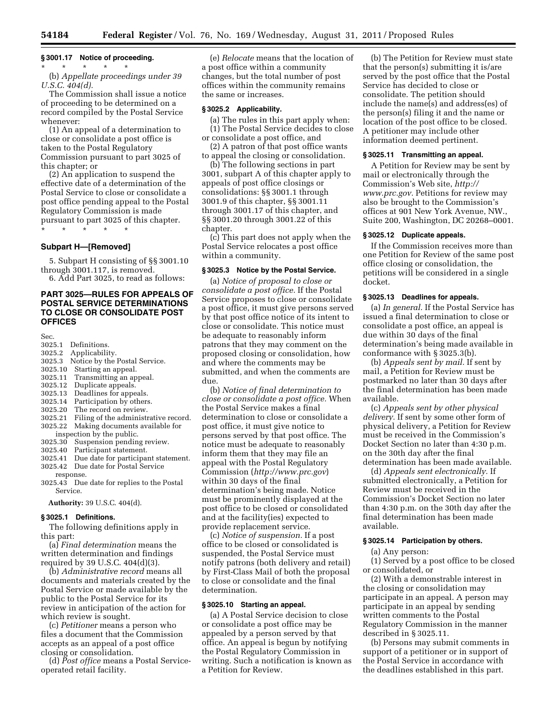# **§ 3001.17 Notice of proceeding.**

\* \* \* \* \* (b) *Appellate proceedings under 39 U.S.C. 404(d).* 

The Commission shall issue a notice of proceeding to be determined on a record compiled by the Postal Service whenever:

(1) An appeal of a determination to close or consolidate a post office is taken to the Postal Regulatory Commission pursuant to part 3025 of this chapter; or

(2) An application to suspend the effective date of a determination of the Postal Service to close or consolidate a post office pending appeal to the Postal Regulatory Commission is made pursuant to part 3025 of this chapter.

\* \* \* \* \*

## **Subpart H—[Removed]**

5. Subpart H consisting of §§ 3001.10 through 3001.117, is removed.

6. Add Part 3025, to read as follows:

# **PART 3025—RULES FOR APPEALS OF POSTAL SERVICE DETERMINATIONS TO CLOSE OR CONSOLIDATE POST OFFICES**

Sec.

- 3025.1 Definitions.
- 3025.2 Applicability.
- 3025.3 Notice by the Postal Service.
- 3025.10 Starting an appeal.
- Transmitting an appeal.
- 3025.12 Duplicate appeals.
- 3025.13 Deadlines for appeals.
- 3025.14 Participation by others.
- 3025.20 The record on review.
- 3025.21 Filing of the administrative record. Making documents available for inspection by the public.
- 3025.30 Suspension pending review.
- 3025.40 Participant statement.
- 3025.41 Due date for participant statement.
- 3025.42 Due date for Postal Service response.
- 3025.43 Due date for replies to the Postal Service.

**Authority:** 39 U.S.C. 404(d).

# **§ 3025.1 Definitions.**

The following definitions apply in this part:

(a) *Final determination* means the written determination and findings required by 39 U.S.C. 404(d)(3).

(b) *Administrative record* means all documents and materials created by the Postal Service or made available by the public to the Postal Service for its review in anticipation of the action for which review is sought.

(c) *Petitioner* means a person who files a document that the Commission accepts as an appeal of a post office closing or consolidation.

(d) *Post office* means a Postal Serviceoperated retail facility.

(e) *Relocate* means that the location of a post office within a community changes, but the total number of post offices within the community remains the same or increases.

## **§ 3025.2 Applicability.**

(a) The rules in this part apply when: (1) The Postal Service decides to close or consolidate a post office, and

(2) A patron of that post office wants to appeal the closing or consolidation.

(b) The following sections in part 3001, subpart A of this chapter apply to appeals of post office closings or consolidations: §§ 3001.1 through 3001.9 of this chapter, §§ 3001.11 through 3001.17 of this chapter, and §§ 3001.20 through 3001.22 of this chapter.

(c) This part does not apply when the Postal Service relocates a post office within a community.

### **§ 3025.3 Notice by the Postal Service.**

(a) *Notice of proposal to close or consolidate a post office.* If the Postal Service proposes to close or consolidate a post office, it must give persons served by that post office notice of its intent to close or consolidate. This notice must be adequate to reasonably inform patrons that they may comment on the proposed closing or consolidation, how and where the comments may be submitted, and when the comments are due.

(b) *Notice of final determination to close or consolidate a post office.* When the Postal Service makes a final determination to close or consolidate a post office, it must give notice to persons served by that post office. The notice must be adequate to reasonably inform them that they may file an appeal with the Postal Regulatory Commission (*<http://www.prc.gov>*) within 30 days of the final determination's being made. Notice must be prominently displayed at the post office to be closed or consolidated and at the facility(ies) expected to provide replacement service.

(c) *Notice of suspension.* If a post office to be closed or consolidated is suspended, the Postal Service must notify patrons (both delivery and retail) by First-Class Mail of both the proposal to close or consolidate and the final determination.

## **§ 3025.10 Starting an appeal.**

(a) A Postal Service decision to close or consolidate a post office may be appealed by a person served by that office. An appeal is begun by notifying the Postal Regulatory Commission in writing. Such a notification is known as a Petition for Review.

(b) The Petition for Review must state that the person(s) submitting it is/are served by the post office that the Postal Service has decided to close or consolidate. The petition should include the name(s) and address(es) of the person(s) filing it and the name or location of the post office to be closed. A petitioner may include other information deemed pertinent.

#### **§ 3025.11 Transmitting an appeal.**

A Petition for Review may be sent by mail or electronically through the Commission's Web site, *[http://](http://www.prc.gov) [www.prc.gov.](http://www.prc.gov)* Petitions for review may also be brought to the Commission's offices at 901 New York Avenue, NW., Suite 200, Washington, DC 20268–0001.

# **§ 3025.12 Duplicate appeals.**

If the Commission receives more than one Petition for Review of the same post office closing or consolidation, the petitions will be considered in a single docket.

### **§ 3025.13 Deadlines for appeals.**

(a) *In general.* If the Postal Service has issued a final determination to close or consolidate a post office, an appeal is due within 30 days of the final determination's being made available in conformance with § 3025.3(b).

(b) *Appeals sent by mail.* If sent by mail, a Petition for Review must be postmarked no later than 30 days after the final determination has been made available.

(c) *Appeals sent by other physical delivery.* If sent by some other form of physical delivery, a Petition for Review must be received in the Commission's Docket Section no later than 4:30 p.m. on the 30th day after the final determination has been made available.

(d) *Appeals sent electronically.* If submitted electronically, a Petition for Review must be received in the Commission's Docket Section no later than 4:30 p.m. on the 30th day after the final determination has been made available.

# **§ 3025.14 Participation by others.**

(a) Any person:

(1) Served by a post office to be closed or consolidated, or

(2) With a demonstrable interest in the closing or consolidation may participate in an appeal. A person may participate in an appeal by sending written comments to the Postal Regulatory Commission in the manner described in § 3025.11.

(b) Persons may submit comments in support of a petitioner or in support of the Postal Service in accordance with the deadlines established in this part.